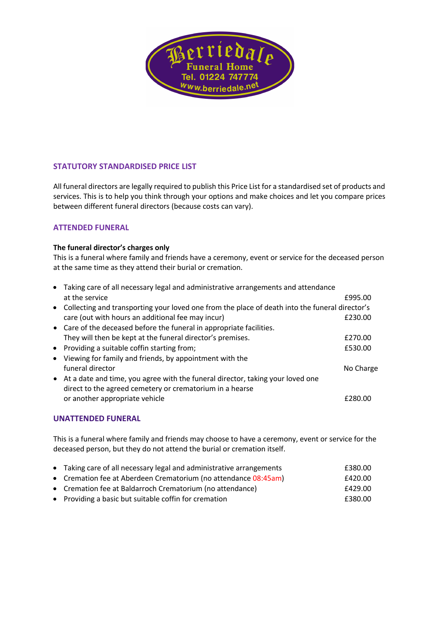

# **STATUTORY STANDARDISED PRICE LIST**

All funeral directors are legally required to publish this Price List for a standardised set of products and services. This is to help you think through your options and make choices and let you compare prices between different funeral directors (because costs can vary).

### **ATTENDED FUNERAL**

#### **The funeral director's charges only**

This is a funeral where family and friends have a ceremony, event or service for the deceased person at the same time as they attend their burial or cremation.

|           | • Taking care of all necessary legal and administrative arrangements and attendance            |           |
|-----------|------------------------------------------------------------------------------------------------|-----------|
|           | at the service                                                                                 | £995.00   |
| $\bullet$ | Collecting and transporting your loved one from the place of death into the funeral director's |           |
|           | care (out with hours an additional fee may incur)                                              | £230.00   |
|           | • Care of the deceased before the funeral in appropriate facilities.                           |           |
|           | They will then be kept at the funeral director's premises.                                     | £270.00   |
|           | • Providing a suitable coffin starting from;                                                   | £530.00   |
|           | • Viewing for family and friends, by appointment with the                                      |           |
|           | funeral director                                                                               | No Charge |
|           | • At a date and time, you agree with the funeral director, taking your loved one               |           |
|           | direct to the agreed cemetery or crematorium in a hearse                                       |           |
|           | or another appropriate vehicle                                                                 | £280.00   |
|           |                                                                                                |           |

### **UNATTENDED FUNERAL**

This is a funeral where family and friends may choose to have a ceremony, event or service for the deceased person, but they do not attend the burial or cremation itself.

| • Taking care of all necessary legal and administrative arrangements | £380.00 |
|----------------------------------------------------------------------|---------|
| • Cremation fee at Aberdeen Crematorium (no attendance 08:45am)      | £420.00 |
| • Cremation fee at Baldarroch Crematorium (no attendance)            | £429.00 |
| • Providing a basic but suitable coffin for cremation                | £380.00 |